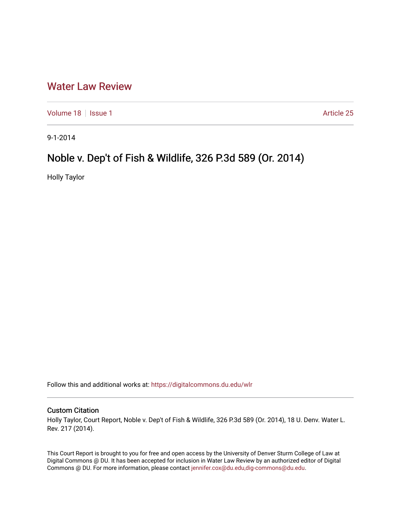## [Water Law Review](https://digitalcommons.du.edu/wlr)

[Volume 18](https://digitalcommons.du.edu/wlr/vol18) | [Issue 1](https://digitalcommons.du.edu/wlr/vol18/iss1) Article 25

9-1-2014

## Noble v. Dep't of Fish & Wildlife, 326 P.3d 589 (Or. 2014)

Holly Taylor

Follow this and additional works at: [https://digitalcommons.du.edu/wlr](https://digitalcommons.du.edu/wlr?utm_source=digitalcommons.du.edu%2Fwlr%2Fvol18%2Fiss1%2F25&utm_medium=PDF&utm_campaign=PDFCoverPages) 

## Custom Citation

Holly Taylor, Court Report, Noble v. Dep't of Fish & Wildlife, 326 P.3d 589 (Or. 2014), 18 U. Denv. Water L. Rev. 217 (2014).

This Court Report is brought to you for free and open access by the University of Denver Sturm College of Law at Digital Commons @ DU. It has been accepted for inclusion in Water Law Review by an authorized editor of Digital Commons @ DU. For more information, please contact [jennifer.cox@du.edu,dig-commons@du.edu.](mailto:jennifer.cox@du.edu,dig-commons@du.edu)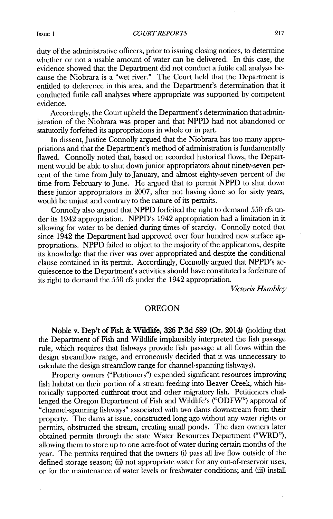duty of the administrative officers, prior to issuing closing notices, to **determine** whether or not a usable amount of water can be delivered. In this case, the evidence showed that the Department **did** not conduct a futile call analysis because the Niobrara is a "wet river." The Court held that the Department **is** entitled to deference in this area, and the Department's determination that it conducted futile call analyses where appropriate was supported **by** competent evidence.

Accordingly, the Court upheld the Department's determination that administration of the Niobrara was proper and that **NPPD** had not abandoned or statutorily forfeited its appropriations in whole or in part.

In dissent, Justice Connolly argued that the Niobrara has too many appropriations and that the Department's method of administration is fundamentally flawed. Connolly noted that, based on recorded historical flows, the Department would be able to shut down junior appropriators about ninety-seven percent of the time from July to January, and almost eighty-seven percent of the time from February to June. He argued that to permit **NPPD** to shut down these junior appropriators in **2007,** after not having done so for sixty years, would be **unjust** and contrary to the nature of its permits.

Connolly also argued that **NPPD** forfeited the right to demand **550** cfs under its 1942 appropriation. NPPD's 1942 appropriation had a limitation in it allowing for water to be denied during times of scarcity. Connolly noted that since 1942 the Department had approved over four hundred new surface appropriations. **NPPD** failed to object to the majority of the applications, despite its knowledge that the river was over appropriated and despite the conditional clause contained in its permit. Accordingly, Connolly argued that NPPD's acquiescence to the Department's activities should have constituted a forfeiture **of** its right to demand the **550** cfs under the 1942 appropriation.

*Victon'a Hambley*

## **OREGON**

Noble v. **Dep't of Fish & Wildlife, 326 P.3d 589** (Or. 2014) (holding that the Department of Fish and Wildlife implausibly interpreted the fish passage rule, which requires that fishways provide fish passage at all flows within the design streamflow range, and erroneously decided that it was unnecessary to calculate the design streamflow range for channel-spanning fishways).

Property owners ("Petitioners") expended significant resources improving fish habitat on their portion of a stream feeding into Beaver Creek, which historically supported cutthroat trout and other migratory fish. Petitioners challenged the Oregon Department of Fish and Wildlife's ("ODFW") approval of "channel-spanning fishways" associated with two dams downstream from their property. The dams at issue, constructed long ago without any water rights or permits, obstructed the stream, creating small ponds. The dam owners later obtained permits through the state Water Resources Department ("WRD"), allowing them to store up to one acre-foot of water during certain months of the year. The permits required that the owners (i) pass all live flow outside of the defined storage season; **(ii)** not appropriate water for any out-of-reservoir uses, or for the maintenance of water levels or freshwater conditions; and (iii) install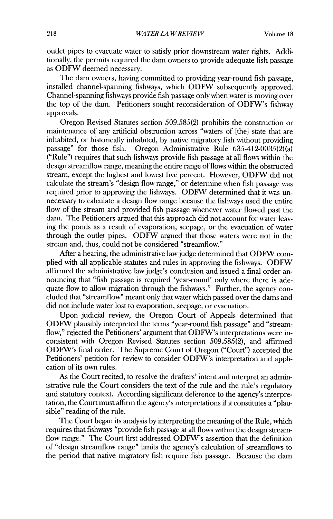outlet pipes to evacuate water to satisfy prior downstream water rights. Additionally, the permits required the dam owners to provide adequate fish passage as ODFW deemed necessary.

The dam owners, having committed to providing year-round fish passage, installed channel-spanning fishways, which ODFW subsequently approved. Channel-spanning fishways provide fish passage only when water is moving over the top of the dam. Petitioners sought reconsideration of ODFW's fishway approvals.

Oregon Revised Statutes section 509.585(2) prohibits the construction or maintenance of any artificial obstruction across "waters of [thel state that are inhabited, or historically inhabited, by native migratory fish without providing passage" for those fish. Oregon Administrative Rule 635-412-0035(2)(a) ("Rule") requires that such fishways provide fish passage at all flows within the design streaniflow range, meaning the entire range of flows within the obstructed stream, except the highest and lowest five percent. However, ODFW did not calculate the stream's "design flow range," or determine when fish passage was required prior to approving the fishways. ODFW determined that it was unnecessary to calculate a design flow range because the fishways used the entire flow of the stream and provided fish passage whenever water flowed past the dam. The Petitioners argued that this approach did not account for water leaving the ponds as a result of evaporation, seepage, or the evacuation of water through the outlet pipes. ODFW argued that those waters were not in the stream and, thus, could not be considered "streamflow."

After a hearing, the administrative law judge determined that ODFW complied with all applicable statutes and rules in approving the fishways. ODFW affirmed the administrative law judge's conclusion and issued a final order announcing that "fish passage is required 'year-round' only where there is adequate flow to allow migration through the fishways." Further, the agency concluded that "streamflow" meant only that water which passed over the dams and did not include water lost to evaporation, seepage, or evacuation.

Upon judicial review, the Oregon Court of Appeals determined that ODFW plausibly interpreted the terms "year-round fish passage" and "streamflow," rejected the Petitioners' argument that ODFW's interpretations were inconsistent with Oregon Revised Statutes section 509.585(2), and affirmed ODFW's final order. The Supreme Court of Oregon ("Court") accepted the Petitioners' petition for review to consider ODFW's interpretation and application of its own rules.

As the Court recited, to resolve the drafters' intent and interpret an administrative rule the Court considers the text of the rule and the rule's regulatory and statutory context. According significant deference to the agency's interpretation, the Court must affirm the agency's interpretations if it constitutes a "plausible" reading of the rule.

The Court began its analysis by interpreting the meaning of the Rule, which requires that fishways "provide fish passage at all flows within the design streamflow range." The Court first addressed ODFW's assertion that the definition of "design streamflow range" limits the agency's calculation of streamiflows to the period that native migratory fish require fish passage. Because the dam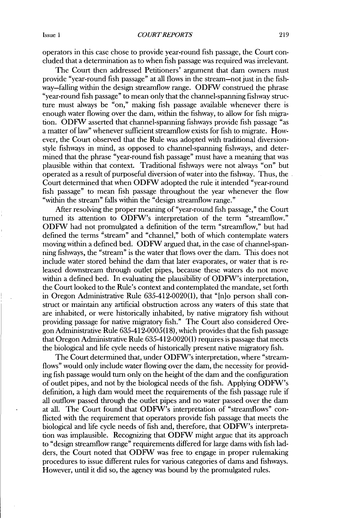operators in this case chose to provide year-round fish passage, the Court concluded that a determination as to when fish passage was required was irrelevant.

The Court then addressed Petitioners' argument that dam owners must provide "year-round fish passage" at all flows in the stream-not just in the fishway-falling within the design streamflow range. ODFW construed the phrase "year-round fish passage" to mean only that the channel-spanning fishway structure must always be "on," making fish passage available whenever there is enough water flowing over the dam, within the fishway, to allow for fish migration. ODFW asserted that channel-spanning fishways provide fish passage "as a matter of law" whenever sufficient streamflow exists for fish to migrate. However, the Court observed that the Rule was adopted with traditional diversionstyle fishways in mind, as opposed to channel-spanning fishways, and determined that the phrase "year-round fish passage" must have a meaning that was plausible within that context. Traditional fishways were not always "on" but operated as a result of purposeful diversion of water into the fishway. Thus, the Court determined that when ODFW adopted the rule it intended "year-round fish passage" to mean fish passage throughout the year whenever the flow "within the stream" falls within the "design streamflow range."

After resolving the proper meaning of "year-round fish passage," the Court turned its attention to ODFW's interpretation of the term "streamflow." ODFW had not promulgated a definition of the term "streamflow," but had defined the terms "stream" and "channel," both of which contemplate waters moving within a defined bed. ODFW argued that, in the case of channel-spanning fishways, the "stream" is the water that flows over the dam. This does not include water stored behind the dam that later evaporates, or water that is released downstream through outlet pipes, because these waters do not move within a defined bed. In evaluating the plausibility of ODFW's interpretation, the Court looked to the Rule's context and contemplated the mandate, set forth in Oregon Administrative Rule 635-412-0020(1), that "[n]o person shall construct or maintain any artificial obstruction across any waters of this state that are inhabited, or were historically inhabited, by native migratory fish without providing passage for native migratory fish." The Court also considered Oregon Administrative Rule 635-412-0005(18), which provides that the fish passage that Oregon Administrative Rule 635-412-0020(1) requires is passage that meets the biological and fife cycle needs of historically present native migratory fish.

The Court determined that, under ODFW's interpretation, where "streamflows" would only include water flowing over the dam, the necessity for providing fish passage would turn only on the height of the dam and the configuration of outlet pipes, and not by the biological needs of the fish. Applying ODFW's definition, a high dam would meet the requirements of the fish passage rule if all outflow passed through the outlet pipes and no water passed over the dam at all. The Court found that ODFW's interpretation of "streamflows" conflicted with the requirement that operators provide fish passage that meets the biological and life cycle needs of fish and, therefore, that ODFW's interpretation was implausible. Recognizing that ODFW might argue that its approach to "design streamflow range" requirements differed for large dams with fish ladders, the Court noted that ODFW was free to engage in proper rulemaking procedures to issue different rules for various categories of dams and fishways. However, until it did so, the agency was bound by the promulgated rules.